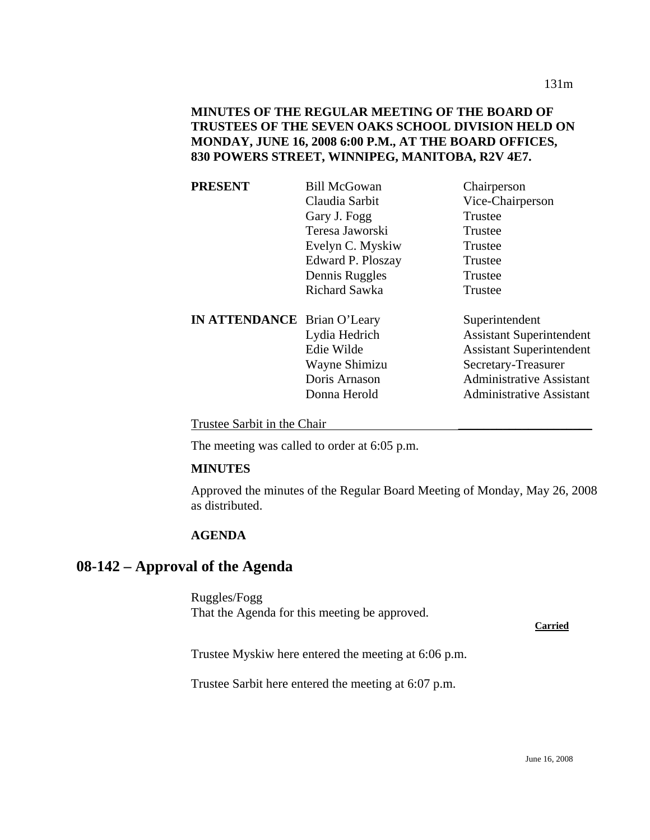### **MINUTES OF THE REGULAR MEETING OF THE BOARD OF TRUSTEES OF THE SEVEN OAKS SCHOOL DIVISION HELD ON MONDAY, JUNE 16, 2008 6:00 P.M., AT THE BOARD OFFICES, 830 POWERS STREET, WINNIPEG, MANITOBA, R2V 4E7.**

| <b>PRESENT</b>                     | <b>Bill McGowan</b>  | Chairperson                     |
|------------------------------------|----------------------|---------------------------------|
|                                    | Claudia Sarbit       | Vice-Chairperson                |
|                                    | Gary J. Fogg         | Trustee                         |
|                                    | Teresa Jaworski      | Trustee                         |
|                                    | Evelyn C. Myskiw     | Trustee                         |
|                                    | Edward P. Ploszay    | Trustee                         |
|                                    | Dennis Ruggles       | Trustee                         |
|                                    | <b>Richard Sawka</b> | Trustee                         |
| <b>IN ATTENDANCE</b> Brian O'Leary |                      | Superintendent                  |
|                                    | Lydia Hedrich        | <b>Assistant Superintendent</b> |
|                                    | Edie Wilde           | <b>Assistant Superintendent</b> |
|                                    | Wayne Shimizu        | Secretary-Treasurer             |
|                                    | Doris Arnason        | <b>Administrative Assistant</b> |
|                                    | Donna Herold         | <b>Administrative Assistant</b> |

Trustee Sarbit in the Chair

The meeting was called to order at 6:05 p.m.

### **MINUTES**

Approved the minutes of the Regular Board Meeting of Monday, May 26, 2008 as distributed.

### **AGENDA**

## **08-142 – Approval of the Agenda**

Ruggles/Fogg That the Agenda for this meeting be approved.

**Carried**

Trustee Myskiw here entered the meeting at 6:06 p.m.

Trustee Sarbit here entered the meeting at 6:07 p.m.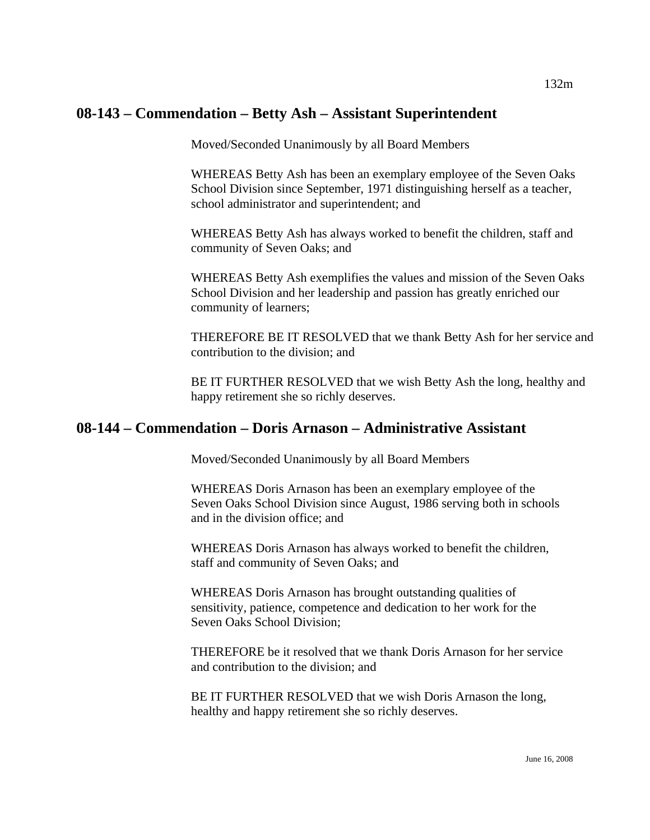# **08-143 – Commendation – Betty Ash – Assistant Superintendent**

Moved/Seconded Unanimously by all Board Members

WHEREAS Betty Ash has been an exemplary employee of the Seven Oaks School Division since September, 1971 distinguishing herself as a teacher, school administrator and superintendent; and

WHEREAS Betty Ash has always worked to benefit the children, staff and community of Seven Oaks; and

WHEREAS Betty Ash exemplifies the values and mission of the Seven Oaks School Division and her leadership and passion has greatly enriched our community of learners;

THEREFORE BE IT RESOLVED that we thank Betty Ash for her service and contribution to the division; and

BE IT FURTHER RESOLVED that we wish Betty Ash the long, healthy and happy retirement she so richly deserves.

## **08-144 – Commendation – Doris Arnason – Administrative Assistant**

Moved/Seconded Unanimously by all Board Members

WHEREAS Doris Arnason has been an exemplary employee of the Seven Oaks School Division since August, 1986 serving both in schools and in the division office; and

WHEREAS Doris Arnason has always worked to benefit the children, staff and community of Seven Oaks; and

WHEREAS Doris Arnason has brought outstanding qualities of sensitivity, patience, competence and dedication to her work for the Seven Oaks School Division;

THEREFORE be it resolved that we thank Doris Arnason for her service and contribution to the division; and

BE IT FURTHER RESOLVED that we wish Doris Arnason the long, healthy and happy retirement she so richly deserves.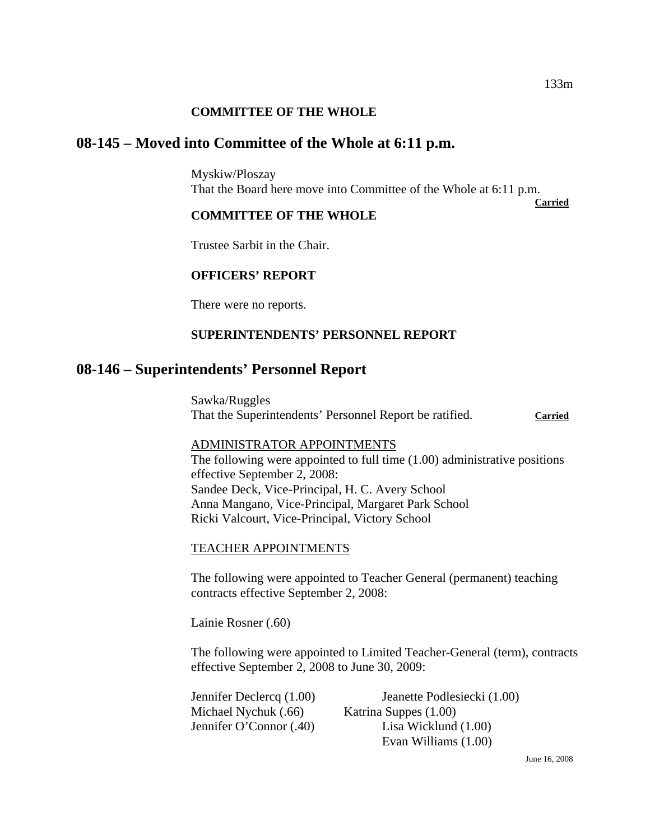### **COMMITTEE OF THE WHOLE**

## **08-145 – Moved into Committee of the Whole at 6:11 p.m.**

Myskiw/Ploszay That the Board here move into Committee of the Whole at 6:11 p.m.

**Carried** 

#### **COMMITTEE OF THE WHOLE**

Trustee Sarbit in the Chair.

### **OFFICERS' REPORT**

There were no reports.

### **SUPERINTENDENTS' PERSONNEL REPORT**

## **08-146 – Superintendents' Personnel Report**

Sawka/Ruggles That the Superintendents' Personnel Report be ratified. **Carried**

#### ADMINISTRATOR APPOINTMENTS

The following were appointed to full time (1.00) administrative positions effective September 2, 2008: Sandee Deck, Vice-Principal, H. C. Avery School Anna Mangano, Vice-Principal, Margaret Park School Ricki Valcourt, Vice-Principal, Victory School

#### TEACHER APPOINTMENTS

The following were appointed to Teacher General (permanent) teaching contracts effective September 2, 2008:

Lainie Rosner (.60)

The following were appointed to Limited Teacher-General (term), contracts effective September 2, 2008 to June 30, 2009:

Michael Nychuk (.66) Katrina Suppes (1.00)

Jennifer Declercq (1.00) Jeanette Podlesiecki (1.00) Jennifer O'Connor (.40) Lisa Wicklund (1.00) Evan Williams (1.00)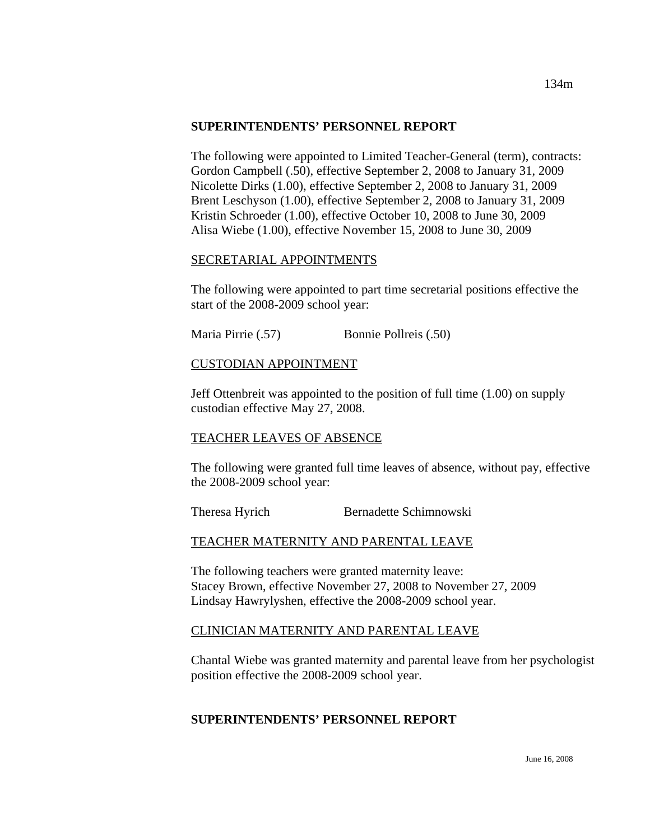#### **SUPERINTENDENTS' PERSONNEL REPORT**

The following were appointed to Limited Teacher-General (term), contracts: Gordon Campbell (.50), effective September 2, 2008 to January 31, 2009 Nicolette Dirks (1.00), effective September 2, 2008 to January 31, 2009 Brent Leschyson (1.00), effective September 2, 2008 to January 31, 2009 Kristin Schroeder (1.00), effective October 10, 2008 to June 30, 2009 Alisa Wiebe (1.00), effective November 15, 2008 to June 30, 2009

### SECRETARIAL APPOINTMENTS

The following were appointed to part time secretarial positions effective the start of the 2008-2009 school year:

Maria Pirrie (.57) Bonnie Pollreis (.50)

### CUSTODIAN APPOINTMENT

Jeff Ottenbreit was appointed to the position of full time (1.00) on supply custodian effective May 27, 2008.

### TEACHER LEAVES OF ABSENCE

The following were granted full time leaves of absence, without pay, effective the 2008-2009 school year:

Theresa Hyrich Bernadette Schimnowski

### TEACHER MATERNITY AND PARENTAL LEAVE

The following teachers were granted maternity leave: Stacey Brown, effective November 27, 2008 to November 27, 2009 Lindsay Hawrylyshen, effective the 2008-2009 school year.

### CLINICIAN MATERNITY AND PARENTAL LEAVE

Chantal Wiebe was granted maternity and parental leave from her psychologist position effective the 2008-2009 school year.

## **SUPERINTENDENTS' PERSONNEL REPORT**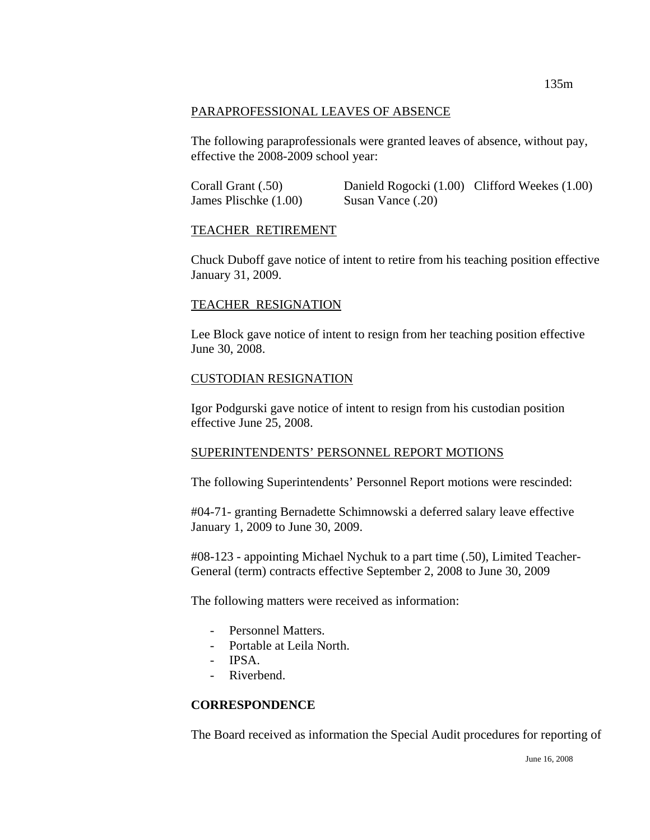### PARAPROFESSIONAL LEAVES OF ABSENCE

The following paraprofessionals were granted leaves of absence, without pay, effective the 2008-2009 school year:

Corall Grant (.50) Danield Rogocki (1.00) Clifford Weekes (1.00) James Plischke (1.00) Susan Vance (.20)

### TEACHER RETIREMENT

Chuck Duboff gave notice of intent to retire from his teaching position effective January 31, 2009.

### TEACHER RESIGNATION

Lee Block gave notice of intent to resign from her teaching position effective June 30, 2008.

### CUSTODIAN RESIGNATION

Igor Podgurski gave notice of intent to resign from his custodian position effective June 25, 2008.

### SUPERINTENDENTS' PERSONNEL REPORT MOTIONS

The following Superintendents' Personnel Report motions were rescinded:

#04-71- granting Bernadette Schimnowski a deferred salary leave effective January 1, 2009 to June 30, 2009.

#08-123 - appointing Michael Nychuk to a part time (.50), Limited Teacher-General (term) contracts effective September 2, 2008 to June 30, 2009

The following matters were received as information:

- Personnel Matters.
- Portable at Leila North.
- IPSA.
- Riverbend.

### **CORRESPONDENCE**

The Board received as information the Special Audit procedures for reporting of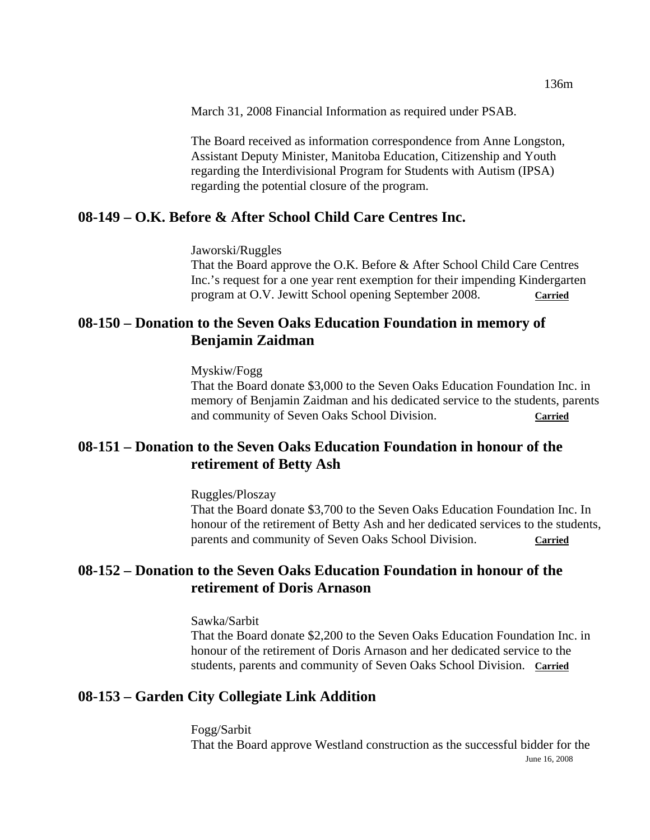March 31, 2008 Financial Information as required under PSAB.

The Board received as information correspondence from Anne Longston, Assistant Deputy Minister, Manitoba Education, Citizenship and Youth regarding the Interdivisional Program for Students with Autism (IPSA) regarding the potential closure of the program.

## **08-149 – O.K. Before & After School Child Care Centres Inc.**

Jaworski/Ruggles

That the Board approve the O.K. Before & After School Child Care Centres Inc.'s request for a one year rent exemption for their impending Kindergarten program at O.V. Jewitt School opening September 2008. **Carried**

# **08-150 – Donation to the Seven Oaks Education Foundation in memory of Benjamin Zaidman**

Myskiw/Fogg

That the Board donate \$3,000 to the Seven Oaks Education Foundation Inc. in memory of Benjamin Zaidman and his dedicated service to the students, parents and community of Seven Oaks School Division. **Carried**

# **08-151 – Donation to the Seven Oaks Education Foundation in honour of the retirement of Betty Ash**

Ruggles/Ploszay

That the Board donate \$3,700 to the Seven Oaks Education Foundation Inc. In honour of the retirement of Betty Ash and her dedicated services to the students, parents and community of Seven Oaks School Division. **Carried**

# **08-152 – Donation to the Seven Oaks Education Foundation in honour of the retirement of Doris Arnason**

Sawka/Sarbit

That the Board donate \$2,200 to the Seven Oaks Education Foundation Inc. in honour of the retirement of Doris Arnason and her dedicated service to the students, parents and community of Seven Oaks School Division. **Carried**

## **08-153 – Garden City Collegiate Link Addition**

June 16, 2008 Fogg/Sarbit That the Board approve Westland construction as the successful bidder for the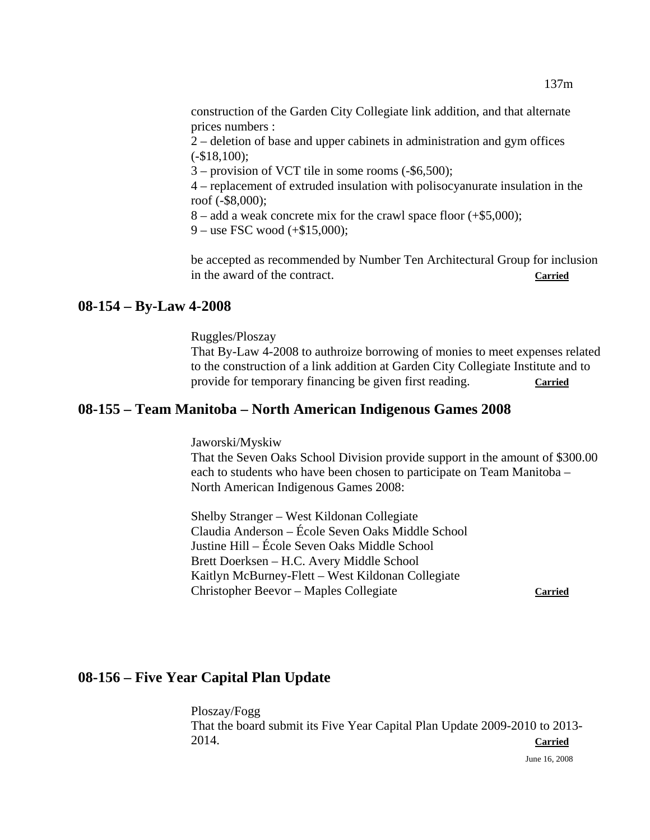construction of the Garden City Collegiate link addition, and that alternate prices numbers :

 2 – deletion of base and upper cabinets in administration and gym offices (-\$18,100);

3 – provision of VCT tile in some rooms (-\$6,500);

 4 – replacement of extruded insulation with polisocyanurate insulation in the roof (-\$8,000);

8 – add a weak concrete mix for the crawl space floor (+\$5,000);

9 – use FSC wood (+\$15,000);

 be accepted as recommended by Number Ten Architectural Group for inclusion in the award of the contract. **Carried**

#### **08-154 – By-Law 4-2008**

Ruggles/Ploszay

That By-Law 4-2008 to authroize borrowing of monies to meet expenses related to the construction of a link addition at Garden City Collegiate Institute and to provide for temporary financing be given first reading. Carried

### **08-155 – Team Manitoba – North American Indigenous Games 2008**

Jaworski/Myskiw

 That the Seven Oaks School Division provide support in the amount of \$300.00 each to students who have been chosen to participate on Team Manitoba – North American Indigenous Games 2008:

 Shelby Stranger – West Kildonan Collegiate Claudia Anderson – École Seven Oaks Middle School Justine Hill – École Seven Oaks Middle School Brett Doerksen – H.C. Avery Middle School Kaitlyn McBurney-Flett – West Kildonan Collegiate Christopher Beevor – Maples Collegiate **Carried**

## **08-156 – Five Year Capital Plan Update**

Ploszay/Fogg That the board submit its Five Year Capital Plan Update 2009-2010 to 2013- 2014. **Carried**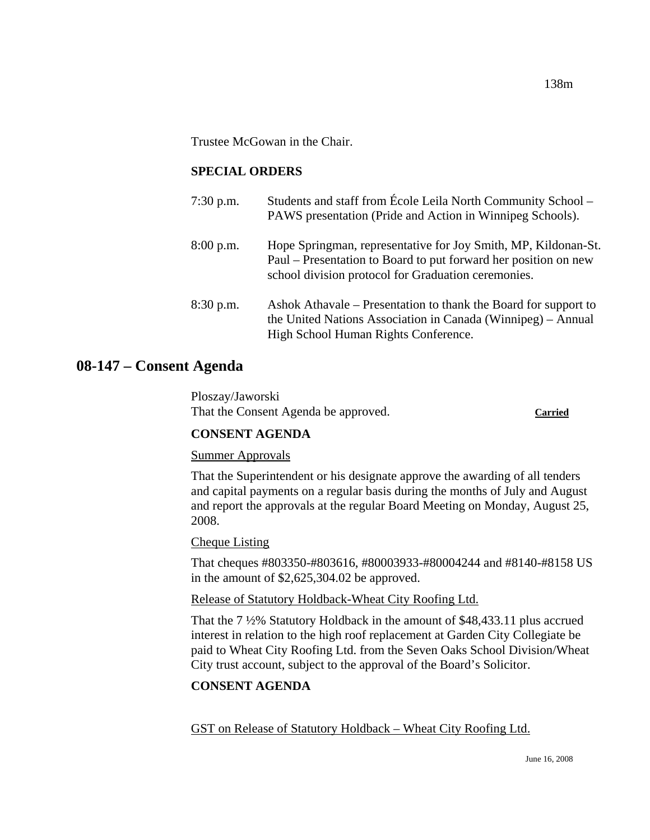Trustee McGowan in the Chair.

## **SPECIAL ORDERS**

| $7:30$ p.m. | Students and staff from École Leila North Community School -<br>PAWS presentation (Pride and Action in Winnipeg Schools).                                                                |
|-------------|------------------------------------------------------------------------------------------------------------------------------------------------------------------------------------------|
| $8:00$ p.m. | Hope Springman, representative for Joy Smith, MP, Kildonan-St.<br>Paul – Presentation to Board to put forward her position on new<br>school division protocol for Graduation ceremonies. |
| $8:30$ p.m. | Ashok Athavale – Presentation to thank the Board for support to<br>the United Nations Association in Canada (Winnipeg) – Annual<br>High School Human Rights Conference.                  |

# **08-147 – Consent Agenda**

Ploszay/Jaworski That the Consent Agenda be approved. **Carried**

### **CONSENT AGENDA**

### Summer Approvals

That the Superintendent or his designate approve the awarding of all tenders and capital payments on a regular basis during the months of July and August and report the approvals at the regular Board Meeting on Monday, August 25, 2008.

### Cheque Listing

That cheques #803350-#803616, #80003933-#80004244 and #8140-#8158 US in the amount of \$2,625,304.02 be approved.

Release of Statutory Holdback-Wheat City Roofing Ltd.

That the 7 ½% Statutory Holdback in the amount of \$48,433.11 plus accrued interest in relation to the high roof replacement at Garden City Collegiate be paid to Wheat City Roofing Ltd. from the Seven Oaks School Division/Wheat City trust account, subject to the approval of the Board's Solicitor.

### **CONSENT AGENDA**

GST on Release of Statutory Holdback – Wheat City Roofing Ltd.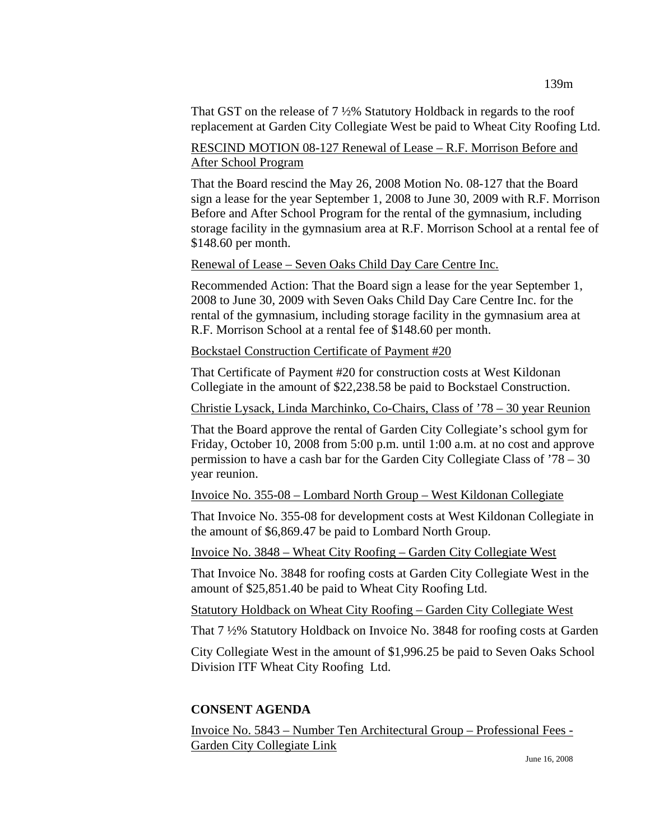That GST on the release of 7 ½% Statutory Holdback in regards to the roof replacement at Garden City Collegiate West be paid to Wheat City Roofing Ltd.

## RESCIND MOTION 08-127 Renewal of Lease – R.F. Morrison Before and After School Program

That the Board rescind the May 26, 2008 Motion No. 08-127 that the Board sign a lease for the year September 1, 2008 to June 30, 2009 with R.F. Morrison Before and After School Program for the rental of the gymnasium, including storage facility in the gymnasium area at R.F. Morrison School at a rental fee of \$148.60 per month.

#### Renewal of Lease – Seven Oaks Child Day Care Centre Inc.

Recommended Action: That the Board sign a lease for the year September 1, 2008 to June 30, 2009 with Seven Oaks Child Day Care Centre Inc. for the rental of the gymnasium, including storage facility in the gymnasium area at R.F. Morrison School at a rental fee of \$148.60 per month.

### Bockstael Construction Certificate of Payment #20

That Certificate of Payment #20 for construction costs at West Kildonan Collegiate in the amount of \$22,238.58 be paid to Bockstael Construction.

Christie Lysack, Linda Marchinko, Co-Chairs, Class of '78 – 30 year Reunion

That the Board approve the rental of Garden City Collegiate's school gym for Friday, October 10, 2008 from 5:00 p.m. until 1:00 a.m. at no cost and approve permission to have a cash bar for the Garden City Collegiate Class of '78 – 30 year reunion.

Invoice No. 355-08 – Lombard North Group – West Kildonan Collegiate

That Invoice No. 355-08 for development costs at West Kildonan Collegiate in the amount of \$6,869.47 be paid to Lombard North Group.

Invoice No. 3848 – Wheat City Roofing – Garden City Collegiate West

That Invoice No. 3848 for roofing costs at Garden City Collegiate West in the amount of \$25,851.40 be paid to Wheat City Roofing Ltd.

Statutory Holdback on Wheat City Roofing – Garden City Collegiate West

That 7 ½% Statutory Holdback on Invoice No. 3848 for roofing costs at Garden

City Collegiate West in the amount of \$1,996.25 be paid to Seven Oaks School Division ITF Wheat City Roofing Ltd.

## **CONSENT AGENDA**

Invoice No. 5843 – Number Ten Architectural Group – Professional Fees - Garden City Collegiate Link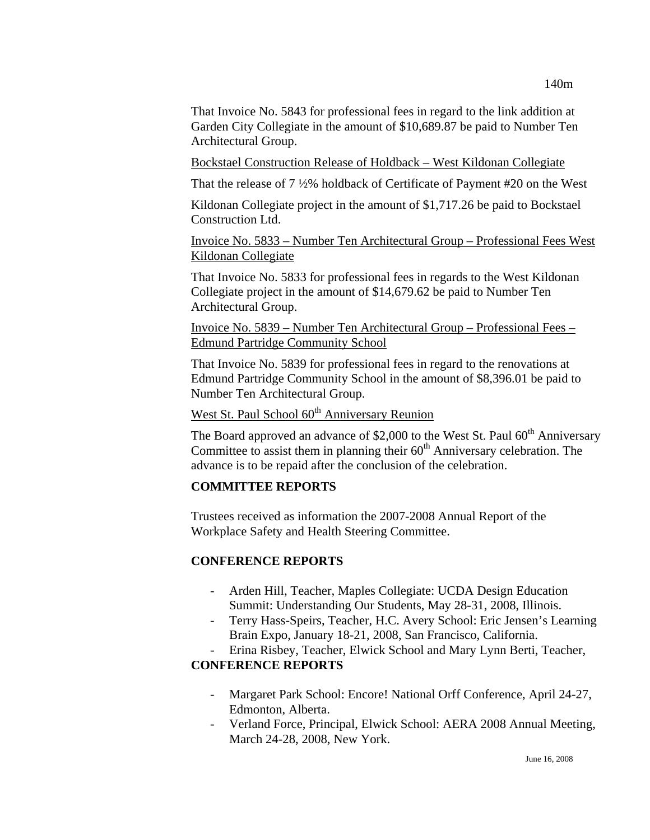That Invoice No. 5843 for professional fees in regard to the link addition at Garden City Collegiate in the amount of \$10,689.87 be paid to Number Ten Architectural Group.

Bockstael Construction Release of Holdback – West Kildonan Collegiate

That the release of 7 ½% holdback of Certificate of Payment #20 on the West

Kildonan Collegiate project in the amount of \$1,717.26 be paid to Bockstael Construction Ltd.

Invoice No. 5833 – Number Ten Architectural Group – Professional Fees West Kildonan Collegiate

That Invoice No. 5833 for professional fees in regards to the West Kildonan Collegiate project in the amount of \$14,679.62 be paid to Number Ten Architectural Group.

Invoice No. 5839 – Number Ten Architectural Group – Professional Fees – Edmund Partridge Community School

That Invoice No. 5839 for professional fees in regard to the renovations at Edmund Partridge Community School in the amount of \$8,396.01 be paid to Number Ten Architectural Group.

West St. Paul School 60<sup>th</sup> Anniversary Reunion

The Board approved an advance of \$2,000 to the West St. Paul  $60<sup>th</sup>$  Anniversary Committee to assist them in planning their  $60<sup>th</sup>$  Anniversary celebration. The advance is to be repaid after the conclusion of the celebration.

## **COMMITTEE REPORTS**

Trustees received as information the 2007-2008 Annual Report of the Workplace Safety and Health Steering Committee.

## **CONFERENCE REPORTS**

- Arden Hill, Teacher, Maples Collegiate: UCDA Design Education Summit: Understanding Our Students, May 28-31, 2008, Illinois.
- Terry Hass-Speirs, Teacher, H.C. Avery School: Eric Jensen's Learning Brain Expo, January 18-21, 2008, San Francisco, California.
- Erina Risbey, Teacher, Elwick School and Mary Lynn Berti, Teacher,

# **CONFERENCE REPORTS**

- Margaret Park School: Encore! National Orff Conference, April 24-27, Edmonton, Alberta.
- Verland Force, Principal, Elwick School: AERA 2008 Annual Meeting, March 24-28, 2008, New York.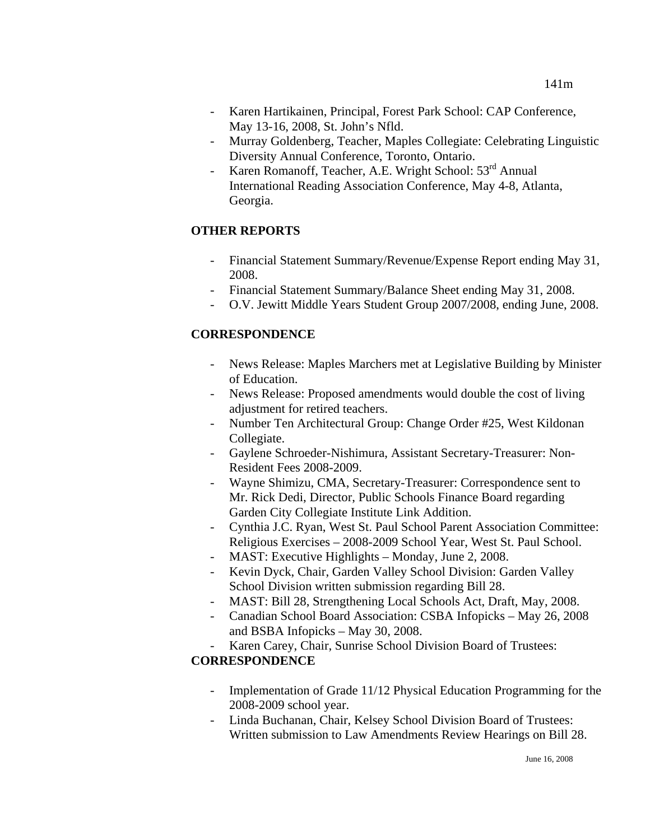- Karen Hartikainen, Principal, Forest Park School: CAP Conference, May 13-16, 2008, St. John's Nfld.
- Murray Goldenberg, Teacher, Maples Collegiate: Celebrating Linguistic Diversity Annual Conference, Toronto, Ontario.
- Karen Romanoff, Teacher, A.E. Wright School: 53<sup>rd</sup> Annual International Reading Association Conference, May 4-8, Atlanta, Georgia.

## **OTHER REPORTS**

- Financial Statement Summary/Revenue/Expense Report ending May 31, 2008.
- Financial Statement Summary/Balance Sheet ending May 31, 2008.
- O.V. Jewitt Middle Years Student Group 2007/2008, ending June, 2008.

## **CORRESPONDENCE**

- News Release: Maples Marchers met at Legislative Building by Minister of Education.
- News Release: Proposed amendments would double the cost of living adjustment for retired teachers.
- Number Ten Architectural Group: Change Order #25, West Kildonan Collegiate.
- Gaylene Schroeder-Nishimura, Assistant Secretary-Treasurer: Non-Resident Fees 2008-2009.
- Wayne Shimizu, CMA, Secretary-Treasurer: Correspondence sent to Mr. Rick Dedi, Director, Public Schools Finance Board regarding Garden City Collegiate Institute Link Addition.
- Cynthia J.C. Ryan, West St. Paul School Parent Association Committee: Religious Exercises – 2008-2009 School Year, West St. Paul School.
- MAST: Executive Highlights Monday, June 2, 2008.
- Kevin Dyck, Chair, Garden Valley School Division: Garden Valley School Division written submission regarding Bill 28.
- MAST: Bill 28, Strengthening Local Schools Act, Draft, May, 2008.
- Canadian School Board Association: CSBA Infopicks May 26, 2008 and BSBA Infopicks – May 30, 2008.
- Karen Carey, Chair, Sunrise School Division Board of Trustees: **CORRESPONDENCE** 
	- Implementation of Grade 11/12 Physical Education Programming for the 2008-2009 school year.
	- Linda Buchanan, Chair, Kelsey School Division Board of Trustees: Written submission to Law Amendments Review Hearings on Bill 28.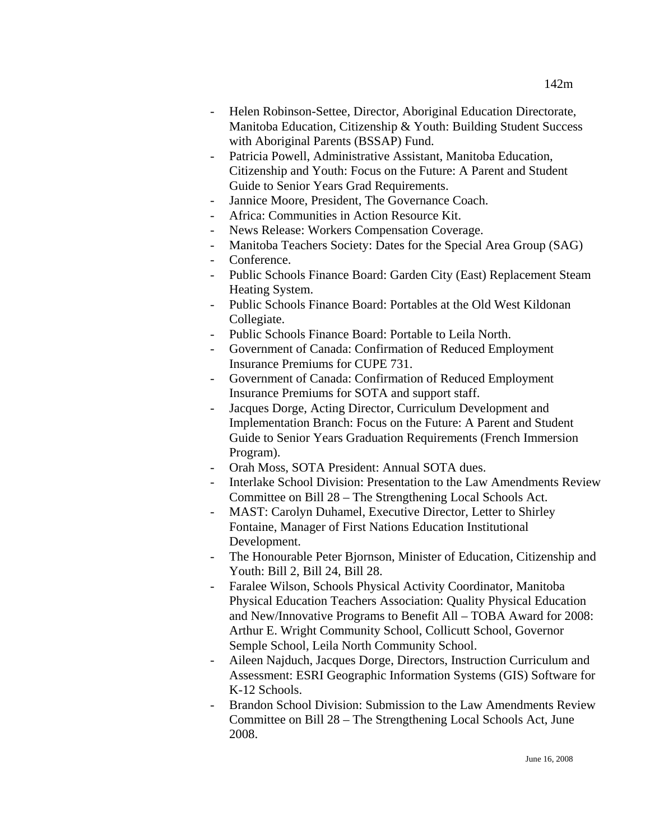- Helen Robinson-Settee, Director, Aboriginal Education Directorate, Manitoba Education, Citizenship & Youth: Building Student Success with Aboriginal Parents (BSSAP) Fund.
- Patricia Powell, Administrative Assistant, Manitoba Education, Citizenship and Youth: Focus on the Future: A Parent and Student Guide to Senior Years Grad Requirements.
- Jannice Moore, President, The Governance Coach.
- Africa: Communities in Action Resource Kit.
- News Release: Workers Compensation Coverage.
- Manitoba Teachers Society: Dates for the Special Area Group (SAG)
- Conference.
- Public Schools Finance Board: Garden City (East) Replacement Steam Heating System.
- Public Schools Finance Board: Portables at the Old West Kildonan Collegiate.
- Public Schools Finance Board: Portable to Leila North.
- Government of Canada: Confirmation of Reduced Employment Insurance Premiums for CUPE 731.
- Government of Canada: Confirmation of Reduced Employment Insurance Premiums for SOTA and support staff.
- Jacques Dorge, Acting Director, Curriculum Development and Implementation Branch: Focus on the Future: A Parent and Student Guide to Senior Years Graduation Requirements (French Immersion Program).
- Orah Moss, SOTA President: Annual SOTA dues.
- Interlake School Division: Presentation to the Law Amendments Review Committee on Bill 28 – The Strengthening Local Schools Act.
- MAST: Carolyn Duhamel, Executive Director, Letter to Shirley Fontaine, Manager of First Nations Education Institutional Development.
- The Honourable Peter Bjornson, Minister of Education, Citizenship and Youth: Bill 2, Bill 24, Bill 28.
- Faralee Wilson, Schools Physical Activity Coordinator, Manitoba Physical Education Teachers Association: Quality Physical Education and New/Innovative Programs to Benefit All – TOBA Award for 2008: Arthur E. Wright Community School, Collicutt School, Governor Semple School, Leila North Community School.
- Aileen Najduch, Jacques Dorge, Directors, Instruction Curriculum and Assessment: ESRI Geographic Information Systems (GIS) Software for K-12 Schools.
- Brandon School Division: Submission to the Law Amendments Review Committee on Bill 28 – The Strengthening Local Schools Act, June 2008.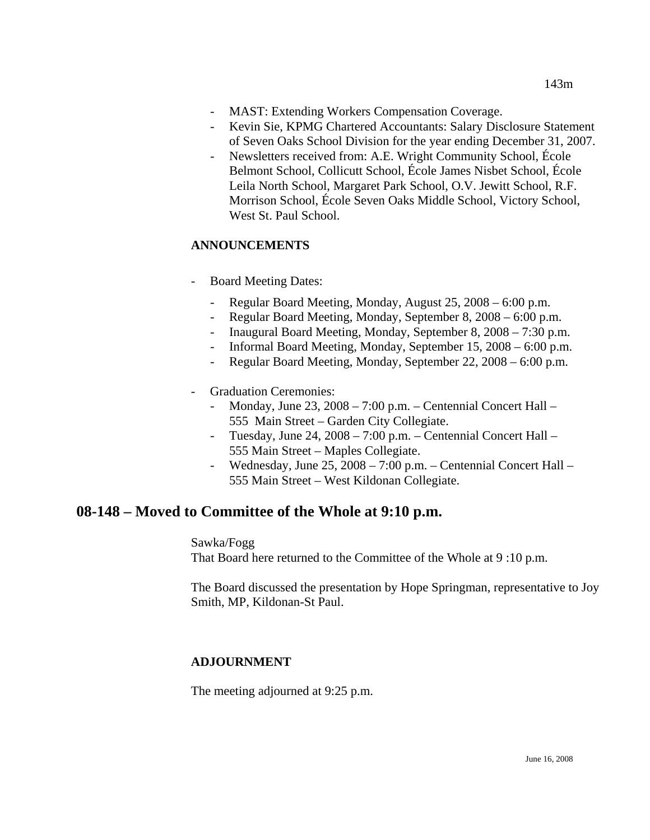- MAST: Extending Workers Compensation Coverage.
- Kevin Sie, KPMG Chartered Accountants: Salary Disclosure Statement of Seven Oaks School Division for the year ending December 31, 2007.
- Newsletters received from: A.E. Wright Community School, École Belmont School, Collicutt School, École James Nisbet School, École Leila North School, Margaret Park School, O.V. Jewitt School, R.F. Morrison School, École Seven Oaks Middle School, Victory School, West St. Paul School.

### **ANNOUNCEMENTS**

- Board Meeting Dates:
	- Regular Board Meeting, Monday, August 25, 2008 6:00 p.m.
	- Regular Board Meeting, Monday, September 8, 2008 6:00 p.m.
	- Inaugural Board Meeting, Monday, September 8, 2008 7:30 p.m.
	- Informal Board Meeting, Monday, September 15, 2008 6:00 p.m.
	- Regular Board Meeting, Monday, September 22, 2008 6:00 p.m.
- Graduation Ceremonies:
	- Monday, June 23, 2008 7:00 p.m. Centennial Concert Hall 555 Main Street – Garden City Collegiate.
	- Tuesday, June 24, 2008 7:00 p.m. Centennial Concert Hall 555 Main Street – Maples Collegiate.
	- Wednesday, June 25, 2008 7:00 p.m. Centennial Concert Hall 555 Main Street – West Kildonan Collegiate.

# **08-148 – Moved to Committee of the Whole at 9:10 p.m.**

Sawka/Fogg

That Board here returned to the Committee of the Whole at 9 :10 p.m.

The Board discussed the presentation by Hope Springman, representative to Joy Smith, MP, Kildonan-St Paul.

### **ADJOURNMENT**

The meeting adjourned at 9:25 p.m.